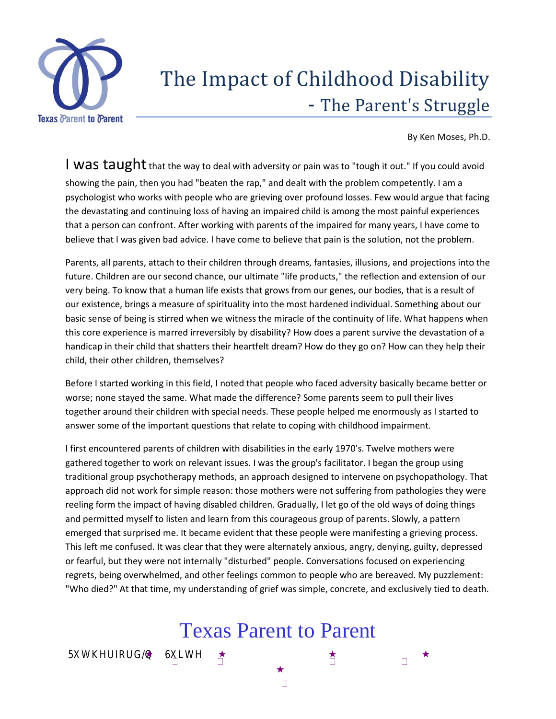

# The Impact of Childhood Disability - The Parent's Struggle

By Ken Moses, Ph.D.

I was taught that the way to deal with adversity or pain was to "tough it out." If you could avoid showing the pain, then you had "beaten the rap," and dealt with the problem competently. I am a psychologist who works with people who are grieving over profound losses. Few would argue that facing the devastating and continuing loss of having an impaired child is among the most painful experiences that a person can confront. After working with parents of the impaired for many years, I have come to believe that I was given bad advice. I have come to believe that pain is the solution, not the problem.

Parents, all parents, attach to their children through dreams, fantasies, illusions, and projections into the future. Children are our second chance, our ultimate "life products," the reflection and extension of our very being. To know that a human life exists that grows from our genes, our bodies, that is a result of our existence, brings a measure of spirituality into the most hardened individual. Something about our basic sense of being is stirred when we witness the miracle of the continuity of life. What happens when this core experience is marred irreversibly by disability? How does a parent survive the devastation of a handicap in their child that shatters their heartfelt dream? How do they go on? How can they help their child, their other children, themselves?

Before I started working in this field, I noted that people who faced adversity basically became better or worse; none stayed the same. What made the difference? Some parents seem to pull their lives together around their children with special needs. These people helped me enormously as I started to answer some of the important questions that relate to coping with childhood impairment.

I first encountered parents of children with disabilities in the early 1970's. Twelve mothers were gathered together to work on relevant issues. I was the group's facilitator. I began the group using traditional group psychotherapy methods, an approach designed to intervene on psychopathology. That approach did not work for simple reason: those mothers were not suffering from pathologies they were reeling form the impact of having disabled children. Gradually, I let go of the old ways of doing things and permitted myself to listen and learn from this courageous group of parents. Slowly, a pattern emerged that surprised me. It became evident that these people were manifesting a grieving process. This left me confused. It was clear that they were alternately anxious, angry, denying, guilty, depressed or fearful, but they were not internally "disturbed" people. Conversations focused on experiencing regrets, being overwhelmed, and other feelings common to people who are bereaved. My puzzlement: "Who died?" At that time, my understanding of grief was simple, concrete, and exclusively tied to death.

## Texas Parent to Parent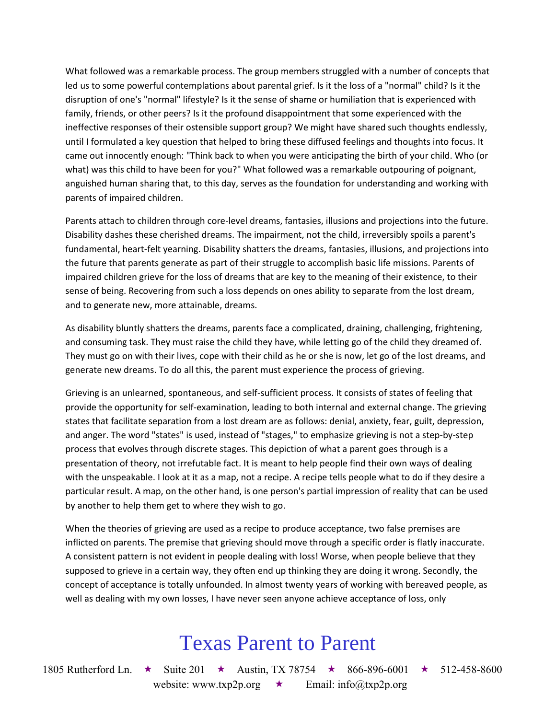What followed was a remarkable process. The group members struggled with a number of concepts that led us to some powerful contemplations about parental grief. Is it the loss of a "normal" child? Is it the disruption of one's "normal" lifestyle? Is it the sense of shame or humiliation that is experienced with family, friends, or other peers? Is it the profound disappointment that some experienced with the ineffective responses of their ostensible support group? We might have shared such thoughts endlessly, until I formulated a key question that helped to bring these diffused feelings and thoughts into focus. It came out innocently enough: "Think back to when you were anticipating the birth of your child. Who (or what) was this child to have been for you?" What followed was a remarkable outpouring of poignant, anguished human sharing that, to this day, serves as the foundation for understanding and working with parents of impaired children.

Parents attach to children through core-level dreams, fantasies, illusions and projections into the future. Disability dashes these cherished dreams. The impairment, not the child, irreversibly spoils a parent's fundamental, heart-felt yearning. Disability shatters the dreams, fantasies, illusions, and projections into the future that parents generate as part of their struggle to accomplish basic life missions. Parents of impaired children grieve for the loss of dreams that are key to the meaning of their existence, to their sense of being. Recovering from such a loss depends on ones ability to separate from the lost dream, and to generate new, more attainable, dreams.

As disability bluntly shatters the dreams, parents face a complicated, draining, challenging, frightening, and consuming task. They must raise the child they have, while letting go of the child they dreamed of. They must go on with their lives, cope with their child as he or she is now, let go of the lost dreams, and generate new dreams. To do all this, the parent must experience the process of grieving.

Grieving is an unlearned, spontaneous, and self-sufficient process. It consists of states of feeling that provide the opportunity for self-examination, leading to both internal and external change. The grieving states that facilitate separation from a lost dream are as follows: denial, anxiety, fear, guilt, depression, and anger. The word "states" is used, instead of "stages," to emphasize grieving is not a step-by-step process that evolves through discrete stages. This depiction of what a parent goes through is a presentation of theory, not irrefutable fact. It is meant to help people find their own ways of dealing with the unspeakable. I look at it as a map, not a recipe. A recipe tells people what to do if they desire a particular result. A map, on the other hand, is one person's partial impression of reality that can be used by another to help them get to where they wish to go.

When the theories of grieving are used as a recipe to produce acceptance, two false premises are inflicted on parents. The premise that grieving should move through a specific order is flatly inaccurate. A consistent pattern is not evident in people dealing with loss! Worse, when people believe that they supposed to grieve in a certain way, they often end up thinking they are doing it wrong. Secondly, the concept of acceptance is totally unfounded. In almost twenty years of working with bereaved people, as well as dealing with my own losses, I have never seen anyone achieve acceptance of loss, only

### Texas Parent to Parent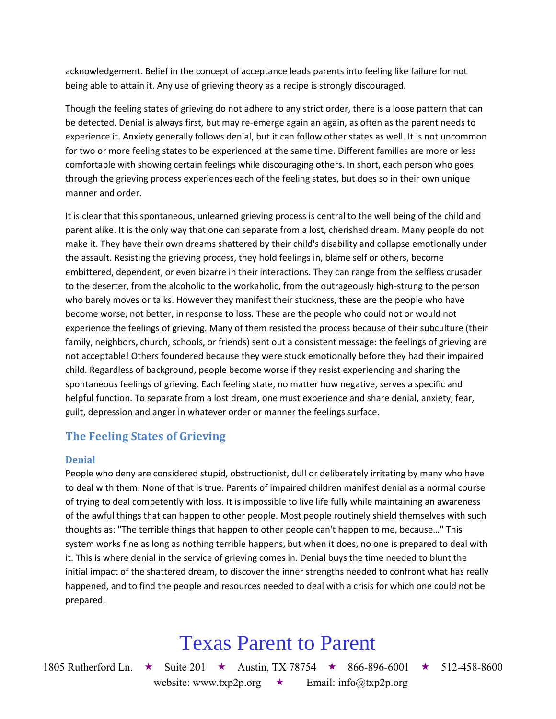acknowledgement. Belief in the concept of acceptance leads parents into feeling like failure for not being able to attain it. Any use of grieving theory as a recipe is strongly discouraged.

Though the feeling states of grieving do not adhere to any strict order, there is a loose pattern that can be detected. Denial is always first, but may re-emerge again an again, as often as the parent needs to experience it. Anxiety generally follows denial, but it can follow other states as well. It is not uncommon for two or more feeling states to be experienced at the same time. Different families are more or less comfortable with showing certain feelings while discouraging others. In short, each person who goes through the grieving process experiences each of the feeling states, but does so in their own unique manner and order.

It is clear that this spontaneous, unlearned grieving process is central to the well being of the child and parent alike. It is the only way that one can separate from a lost, cherished dream. Many people do not make it. They have their own dreams shattered by their child's disability and collapse emotionally under the assault. Resisting the grieving process, they hold feelings in, blame self or others, become embittered, dependent, or even bizarre in their interactions. They can range from the selfless crusader to the deserter, from the alcoholic to the workaholic, from the outrageously high-strung to the person who barely moves or talks. However they manifest their stuckness, these are the people who have become worse, not better, in response to loss. These are the people who could not or would not experience the feelings of grieving. Many of them resisted the process because of their subculture (their family, neighbors, church, schools, or friends) sent out a consistent message: the feelings of grieving are not acceptable! Others foundered because they were stuck emotionally before they had their impaired child. Regardless of background, people become worse if they resist experiencing and sharing the spontaneous feelings of grieving. Each feeling state, no matter how negative, serves a specific and helpful function. To separate from a lost dream, one must experience and share denial, anxiety, fear, guilt, depression and anger in whatever order or manner the feelings surface.

### **The Feeling States of Grieving**

#### **Denial**

People who deny are considered stupid, obstructionist, dull or deliberately irritating by many who have to deal with them. None of that is true. Parents of impaired children manifest denial as a normal course of trying to deal competently with loss. It is impossible to live life fully while maintaining an awareness of the awful things that can happen to other people. Most people routinely shield themselves with such thoughts as: "The terrible things that happen to other people can't happen to me, because…" This system works fine as long as nothing terrible happens, but when it does, no one is prepared to deal with it. This is where denial in the service of grieving comes in. Denial buys the time needed to blunt the initial impact of the shattered dream, to discover the inner strengths needed to confront what has really happened, and to find the people and resources needed to deal with a crisis for which one could not be prepared.

### Texas Parent to Parent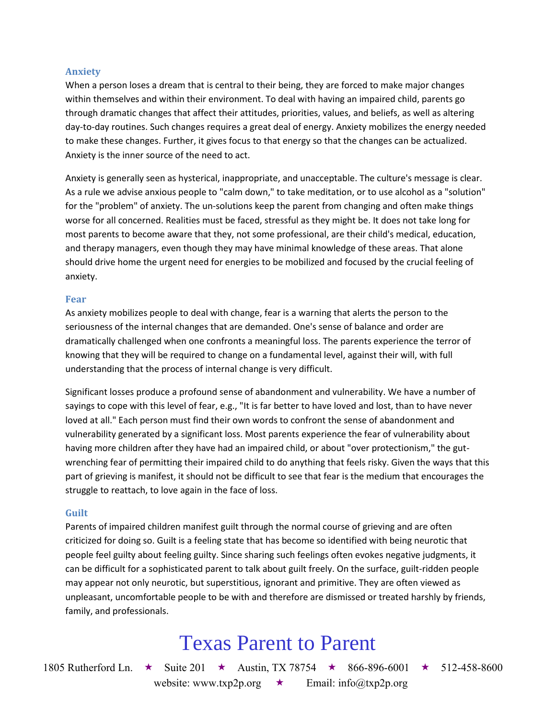#### **Anxiety**

When a person loses a dream that is central to their being, they are forced to make major changes within themselves and within their environment. To deal with having an impaired child, parents go through dramatic changes that affect their attitudes, priorities, values, and beliefs, as well as altering day-to-day routines. Such changes requires a great deal of energy. Anxiety mobilizes the energy needed to make these changes. Further, it gives focus to that energy so that the changes can be actualized. Anxiety is the inner source of the need to act.

Anxiety is generally seen as hysterical, inappropriate, and unacceptable. The culture's message is clear. As a rule we advise anxious people to "calm down," to take meditation, or to use alcohol as a "solution" for the "problem" of anxiety. The un-solutions keep the parent from changing and often make things worse for all concerned. Realities must be faced, stressful as they might be. It does not take long for most parents to become aware that they, not some professional, are their child's medical, education, and therapy managers, even though they may have minimal knowledge of these areas. That alone should drive home the urgent need for energies to be mobilized and focused by the crucial feeling of anxiety.

#### **Fear**

As anxiety mobilizes people to deal with change, fear is a warning that alerts the person to the seriousness of the internal changes that are demanded. One's sense of balance and order are dramatically challenged when one confronts a meaningful loss. The parents experience the terror of knowing that they will be required to change on a fundamental level, against their will, with full understanding that the process of internal change is very difficult.

Significant losses produce a profound sense of abandonment and vulnerability. We have a number of sayings to cope with this level of fear, e.g., "It is far better to have loved and lost, than to have never loved at all." Each person must find their own words to confront the sense of abandonment and vulnerability generated by a significant loss. Most parents experience the fear of vulnerability about having more children after they have had an impaired child, or about "over protectionism," the gutwrenching fear of permitting their impaired child to do anything that feels risky. Given the ways that this part of grieving is manifest, it should not be difficult to see that fear is the medium that encourages the struggle to reattach, to love again in the face of loss.

#### **Guilt**

Parents of impaired children manifest guilt through the normal course of grieving and are often criticized for doing so. Guilt is a feeling state that has become so identified with being neurotic that people feel guilty about feeling guilty. Since sharing such feelings often evokes negative judgments, it can be difficult for a sophisticated parent to talk about guilt freely. On the surface, guilt-ridden people may appear not only neurotic, but superstitious, ignorant and primitive. They are often viewed as unpleasant, uncomfortable people to be with and therefore are dismissed or treated harshly by friends, family, and professionals.

### Texas Parent to Parent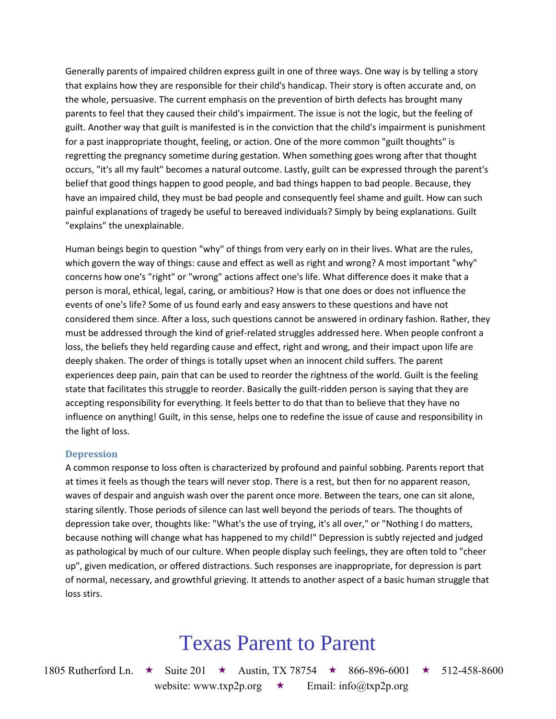Generally parents of impaired children express guilt in one of three ways. One way is by telling a story that explains how they are responsible for their child's handicap. Their story is often accurate and, on the whole, persuasive. The current emphasis on the prevention of birth defects has brought many parents to feel that they caused their child's impairment. The issue is not the logic, but the feeling of guilt. Another way that guilt is manifested is in the conviction that the child's impairment is punishment for a past inappropriate thought, feeling, or action. One of the more common "guilt thoughts" is regretting the pregnancy sometime during gestation. When something goes wrong after that thought occurs, "it's all my fault" becomes a natural outcome. Lastly, guilt can be expressed through the parent's belief that good things happen to good people, and bad things happen to bad people. Because, they have an impaired child, they must be bad people and consequently feel shame and guilt. How can such painful explanations of tragedy be useful to bereaved individuals? Simply by being explanations. Guilt "explains" the unexplainable.

Human beings begin to question "why" of things from very early on in their lives. What are the rules, which govern the way of things: cause and effect as well as right and wrong? A most important "why" concerns how one's "right" or "wrong" actions affect one's life. What difference does it make that a person is moral, ethical, legal, caring, or ambitious? How is that one does or does not influence the events of one's life? Some of us found early and easy answers to these questions and have not considered them since. After a loss, such questions cannot be answered in ordinary fashion. Rather, they must be addressed through the kind of grief-related struggles addressed here. When people confront a loss, the beliefs they held regarding cause and effect, right and wrong, and their impact upon life are deeply shaken. The order of things is totally upset when an innocent child suffers. The parent experiences deep pain, pain that can be used to reorder the rightness of the world. Guilt is the feeling state that facilitates this struggle to reorder. Basically the guilt-ridden person is saying that they are accepting responsibility for everything. It feels better to do that than to believe that they have no influence on anything! Guilt, in this sense, helps one to redefine the issue of cause and responsibility in the light of loss.

#### **Depression**

A common response to loss often is characterized by profound and painful sobbing. Parents report that at times it feels as though the tears will never stop. There is a rest, but then for no apparent reason, waves of despair and anguish wash over the parent once more. Between the tears, one can sit alone, staring silently. Those periods of silence can last well beyond the periods of tears. The thoughts of depression take over, thoughts like: "What's the use of trying, it's all over," or "Nothing I do matters, because nothing will change what has happened to my child!" Depression is subtly rejected and judged as pathological by much of our culture. When people display such feelings, they are often told to "cheer up", given medication, or offered distractions. Such responses are inappropriate, for depression is part of normal, necessary, and growthful grieving. It attends to another aspect of a basic human struggle that loss stirs.

### Texas Parent to Parent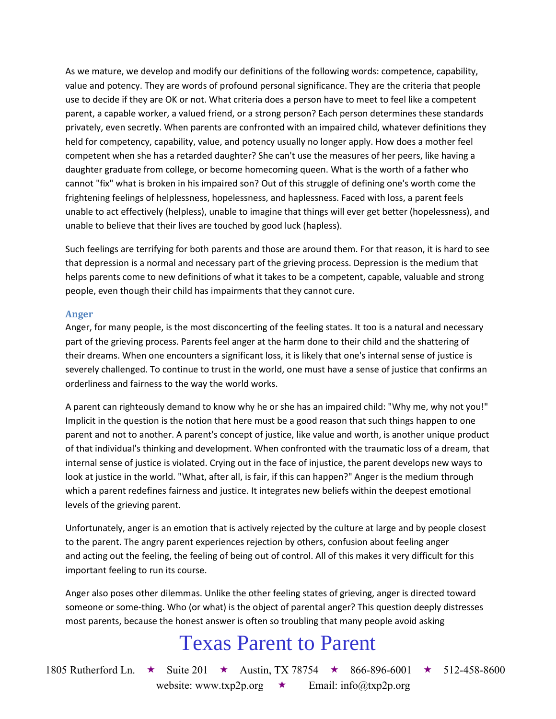As we mature, we develop and modify our definitions of the following words: competence, capability, value and potency. They are words of profound personal significance. They are the criteria that people use to decide if they are OK or not. What criteria does a person have to meet to feel like a competent parent, a capable worker, a valued friend, or a strong person? Each person determines these standards privately, even secretly. When parents are confronted with an impaired child, whatever definitions they held for competency, capability, value, and potency usually no longer apply. How does a mother feel competent when she has a retarded daughter? She can't use the measures of her peers, like having a daughter graduate from college, or become homecoming queen. What is the worth of a father who cannot "fix" what is broken in his impaired son? Out of this struggle of defining one's worth come the frightening feelings of helplessness, hopelessness, and haplessness. Faced with loss, a parent feels unable to act effectively (helpless), unable to imagine that things will ever get better (hopelessness), and unable to believe that their lives are touched by good luck (hapless).

Such feelings are terrifying for both parents and those are around them. For that reason, it is hard to see that depression is a normal and necessary part of the grieving process. Depression is the medium that helps parents come to new definitions of what it takes to be a competent, capable, valuable and strong people, even though their child has impairments that they cannot cure.

#### **Anger**

Anger, for many people, is the most disconcerting of the feeling states. It too is a natural and necessary part of the grieving process. Parents feel anger at the harm done to their child and the shattering of their dreams. When one encounters a significant loss, it is likely that one's internal sense of justice is severely challenged. To continue to trust in the world, one must have a sense of justice that confirms an orderliness and fairness to the way the world works.

A parent can righteously demand to know why he or she has an impaired child: "Why me, why not you!" Implicit in the question is the notion that here must be a good reason that such things happen to one parent and not to another. A parent's concept of justice, like value and worth, is another unique product of that individual's thinking and development. When confronted with the traumatic loss of a dream, that internal sense of justice is violated. Crying out in the face of injustice, the parent develops new ways to look at justice in the world. "What, after all, is fair, if this can happen?" Anger is the medium through which a parent redefines fairness and justice. It integrates new beliefs within the deepest emotional levels of the grieving parent.

Unfortunately, anger is an emotion that is actively rejected by the culture at large and by people closest to the parent. The angry parent experiences rejection by others, confusion about feeling anger and acting out the feeling, the feeling of being out of control. All of this makes it very difficult for this important feeling to run its course.

Anger also poses other dilemmas. Unlike the other feeling states of grieving, anger is directed toward someone or some-thing. Who (or what) is the object of parental anger? This question deeply distresses most parents, because the honest answer is often so troubling that many people avoid asking

### Texas Parent to Parent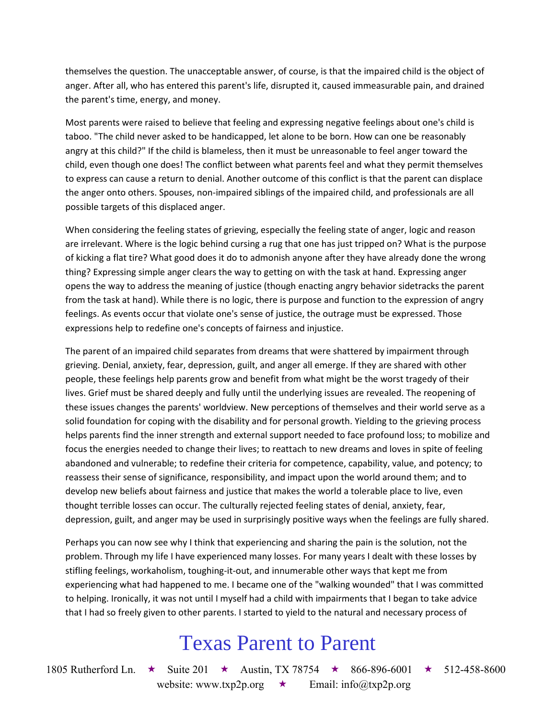themselves the question. The unacceptable answer, of course, is that the impaired child is the object of anger. After all, who has entered this parent's life, disrupted it, caused immeasurable pain, and drained the parent's time, energy, and money.

Most parents were raised to believe that feeling and expressing negative feelings about one's child is taboo. "The child never asked to be handicapped, let alone to be born. How can one be reasonably angry at this child?" If the child is blameless, then it must be unreasonable to feel anger toward the child, even though one does! The conflict between what parents feel and what they permit themselves to express can cause a return to denial. Another outcome of this conflict is that the parent can displace the anger onto others. Spouses, non-impaired siblings of the impaired child, and professionals are all possible targets of this displaced anger.

When considering the feeling states of grieving, especially the feeling state of anger, logic and reason are irrelevant. Where is the logic behind cursing a rug that one has just tripped on? What is the purpose of kicking a flat tire? What good does it do to admonish anyone after they have already done the wrong thing? Expressing simple anger clears the way to getting on with the task at hand. Expressing anger opens the way to address the meaning of justice (though enacting angry behavior sidetracks the parent from the task at hand). While there is no logic, there is purpose and function to the expression of angry feelings. As events occur that violate one's sense of justice, the outrage must be expressed. Those expressions help to redefine one's concepts of fairness and injustice.

The parent of an impaired child separates from dreams that were shattered by impairment through grieving. Denial, anxiety, fear, depression, guilt, and anger all emerge. If they are shared with other people, these feelings help parents grow and benefit from what might be the worst tragedy of their lives. Grief must be shared deeply and fully until the underlying issues are revealed. The reopening of these issues changes the parents' worldview. New perceptions of themselves and their world serve as a solid foundation for coping with the disability and for personal growth. Yielding to the grieving process helps parents find the inner strength and external support needed to face profound loss; to mobilize and focus the energies needed to change their lives; to reattach to new dreams and loves in spite of feeling abandoned and vulnerable; to redefine their criteria for competence, capability, value, and potency; to reassess their sense of significance, responsibility, and impact upon the world around them; and to develop new beliefs about fairness and justice that makes the world a tolerable place to live, even thought terrible losses can occur. The culturally rejected feeling states of denial, anxiety, fear, depression, guilt, and anger may be used in surprisingly positive ways when the feelings are fully shared.

Perhaps you can now see why I think that experiencing and sharing the pain is the solution, not the problem. Through my life I have experienced many losses. For many years I dealt with these losses by stifling feelings, workaholism, toughing-it-out, and innumerable other ways that kept me from experiencing what had happened to me. I became one of the "walking wounded" that I was committed to helping. Ironically, it was not until I myself had a child with impairments that I began to take advice that I had so freely given to other parents. I started to yield to the natural and necessary process of

## Texas Parent to Parent